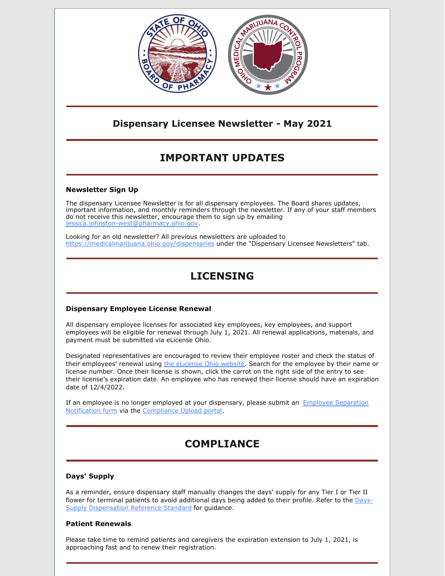

### **Dispensary Licensee Newsletter - May 2021**

# **IMPORTANT UPDATES**

### **Newsletter Sign Up**

The dispensary Licensee Newsletter is for all dispensary employees. The Board shares updates, important information, and monthly reminders through the newsletter. If any of your staff members do not receive this newsletter, encourage them to sign up by emailing jessica.johnston-west@pharmacy.ohio.gov.

Looking for an old newsletter? All previous newsletters are uploaded to <https://medicalmarijuana.ohio.gov/dispensaries> under the "Dispensary Licensee Newsletters" tab.

## **LICENSING**

#### **Dispensary Employee License Renewal**

All dispensary employee licenses for associated key employees, key employees, and support employees will be eligible for renewal through July 1, 2021. All renewal applications, materials, and payment must be submitted via eLicense Ohio.

Designated representatives are encouraged to review their employee roster and check the status of their employees' renewal using the [eLicense](https://elicense.ohio.gov/OH_HomePage) Ohio website. Search for the employee by their name or license number. Once their license is shown, click the carrot on the right side of the entry to see their license's expiration date. An employee who has renewed their license should have an expiration date of 12/4/2022.

If an employee is no longer employed at your [dispensary,](https://www.medicalmarijuana.ohio.gov/Documents/LicenseeResources/Dispensary Licensee Resources/Forms and Guidance for Compliance Upload Portal/Employee Separation Form.pdf) please submit an Employee Separation Notification form via the [Compliance](https://www.pharmacy.ohio.gov/Licensing/DocumentUpload.aspx) Upload portal.

## **COMPLIANCE**

### **Days' Supply**

As a reminder, ensure dispensary staff manually changes the days' supply for any Tier I or Tier II flower for terminal patients to avoid additional days being added to their profile. Refer to the Days-Supply [Dispensation](https://medicalmarijuana.ohio.gov/Documents/LicenseeResources/Dispensary Licensee Resources/DISPENSARY TECHNOLOGY & SYSTEMS/Plant Material Days Supply Reference.pdf) Reference Standard for guidance.

#### **Patient Renewals**

Please take time to remind patients and caregivers the expiration extension to July 1, 2021, is approaching fast and to renew their registration.